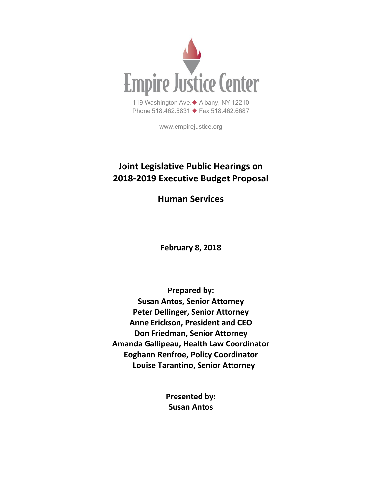

[www.empirejustice.org](http://www.empirejustice.org/)

# **Joint Legislative Public Hearings on 2018-2019 Executive Budget Proposal**

**Human Services**

**February 8, 2018**

**Prepared by: Susan Antos, Senior Attorney Peter Dellinger, Senior Attorney Anne Erickson, President and CEO Don Friedman, Senior Attorney Amanda Gallipeau, Health Law Coordinator Eoghann Renfroe, Policy Coordinator Louise Tarantino, Senior Attorney**

> **Presented by: Susan Antos**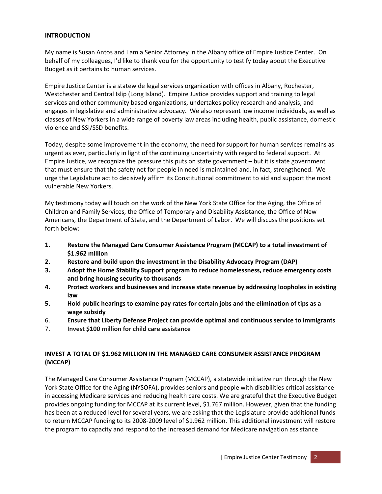#### **INTRODUCTION**

My name is Susan Antos and I am a Senior Attorney in the Albany office of Empire Justice Center. On behalf of my colleagues, I'd like to thank you for the opportunity to testify today about the Executive Budget as it pertains to human services.

Empire Justice Center is a statewide legal services organization with offices in Albany, Rochester, Westchester and Central Islip (Long Island). Empire Justice provides support and training to legal services and other community based organizations, undertakes policy research and analysis, and engages in legislative and administrative advocacy. We also represent low income individuals, as well as classes of New Yorkers in a wide range of poverty law areas including health, public assistance, domestic violence and SSI/SSD benefits.

Today, despite some improvement in the economy, the need for support for human services remains as urgent as ever, particularly in light of the continuing uncertainty with regard to federal support. At Empire Justice, we recognize the pressure this puts on state government – but it is state government that must ensure that the safety net for people in need is maintained and, in fact, strengthened. We urge the Legislature act to decisively affirm its Constitutional commitment to aid and support the most vulnerable New Yorkers.

My testimony today will touch on the work of the New York State Office for the Aging, the Office of Children and Family Services, the Office of Temporary and Disability Assistance, the Office of New Americans, the Department of State, and the Department of Labor. We will discuss the positions set forth below:

- **1. Restore the Managed Care Consumer Assistance Program (MCCAP) to a total investment of \$1.962 million**
- **2. Restore and build upon the investment in the Disability Advocacy Program (DAP)**
- **3. Adopt the Home Stability Support program to reduce homelessness, reduce emergency costs and bring housing security to thousands**
- **4. Protect workers and businesses and increase state revenue by addressing loopholes in existing law**
- **5. Hold public hearings to examine pay rates for certain jobs and the elimination of tips as a wage subsidy**
- 6. **Ensure that Liberty Defense Project can provide optimal and continuous service to immigrants**
- 7. **Invest \$100 million for child care assistance**

#### **INVEST A TOTAL OF \$1.962 MILLION IN THE MANAGED CARE CONSUMER ASSISTANCE PROGRAM (MCCAP)**

The Managed Care Consumer Assistance Program (MCCAP), a statewide initiative run through the New York State Office for the Aging (NYSOFA), provides seniors and people with disabilities critical assistance in accessing Medicare services and reducing health care costs. We are grateful that the Executive Budget provides ongoing funding for MCCAP at its current level, \$1.767 million. However, given that the funding has been at a reduced level for several years, we are asking that the Legislature provide additional funds to return MCCAP funding to its 2008-2009 level of \$1.962 million. This additional investment will restore the program to capacity and respond to the increased demand for Medicare navigation assistance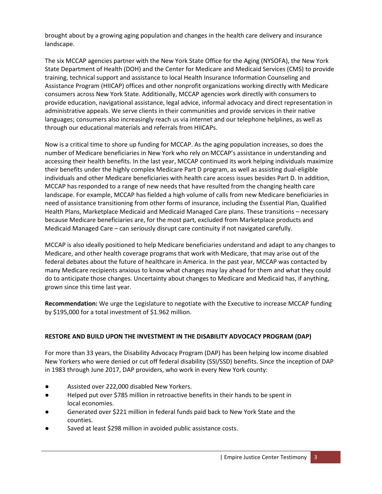brought about by a growing aging population and changes in the health care delivery and insurance landscape.

The six MCCAP agencies partner with the New York State Office for the Aging (NYSOFA), the New York State Department of Health (DOH) and the Center for Medicare and Medicaid Services (CMS) to provide training, technical support and assistance to local Health Insurance Information Counseling and Assistance Program (HIICAP) offices and other nonprofit organizations working directly with Medicare consumers across New York State. Additionally, MCCAP agencies work directly with consumers to provide education, navigational assistance, legal advice, informal advocacy and direct representation in administrative appeals. We serve clients in their communities and provide services in their native languages; consumers also increasingly reach us via internet and our telephone helplines, as well as through our educational materials and referrals from HIICAPs.

Now is a critical time to shore up funding for MCCAP. As the aging population increases, so does the number of Medicare beneficiaries in New York who rely on MCCAP's assistance in understanding and accessing their health benefits. In the last year, MCCAP continued its work helping individuals maximize their benefits under the highly complex Medicare Part D program, as well as assisting dual-eligible individuals and other Medicare beneficiaries with health care access issues besides Part D. In addition, MCCAP has responded to a range of new needs that have resulted from the changing health care landscape. For example, MCCAP has fielded a high volume of calls from new Medicare beneficiaries in need of assistance transitioning from other forms of insurance, including the Essential Plan, Qualified Health Plans, Marketplace Medicaid and Medicaid Managed Care plans. These transitions – necessary because Medicare beneficiaries are, for the most part, excluded from Marketplace products and Medicaid Managed Care – can seriously disrupt care continuity if not navigated carefully.

MCCAP is also ideally positioned to help Medicare beneficiaries understand and adapt to any changes to Medicare, and other health coverage programs that work with Medicare, that may arise out of the federal debates about the future of healthcare in America. In the past year, MCCAP was contacted by many Medicare recipients anxious to know what changes may lay ahead for them and what they could do to anticipate those changes. Uncertainty about changes to Medicare and Medicaid has, if anything, grown since this time last year.

**Recommendation:** We urge the Legislature to negotiate with the Executive to increase MCCAP funding by \$195,000 for a total investment of \$1.962 million.

#### **RESTORE AND BUILD UPON THE INVESTMENT IN THE DISABILITY ADVOCACY PROGRAM (DAP)**

For more than 33 years, the Disability Advocacy Program (DAP) has been helping low income disabled New Yorkers who were denied or cut off federal disability (SSI/SSD) benefits. Since the inception of DAP in 1983 through June 2017, DAP providers, who work in every New York county:

- Assisted over 222,000 disabled New Yorkers.
- Helped put over \$785 million in retroactive benefits in their hands to be spent in local economies.
- Generated over \$221 million in federal funds paid back to New York State and the counties.
- Saved at least \$298 million in avoided public assistance costs.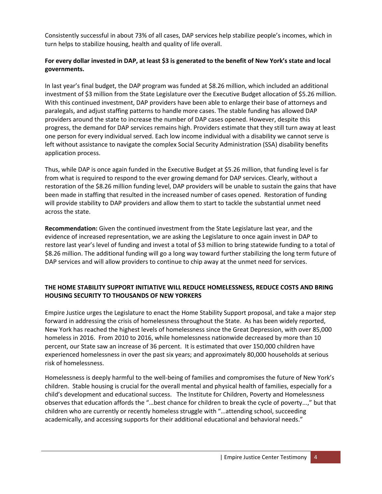Consistently successful in about 73% of all cases, DAP services help stabilize people's incomes, which in turn helps to stabilize housing, health and quality of life overall.

## **For every dollar invested in DAP, at least \$3 is generated to the benefit of New York's state and local governments.**

In last year's final budget, the DAP program was funded at \$8.26 million, which included an additional investment of \$3 million from the State Legislature over the Executive Budget allocation of \$5.26 million. With this continued investment, DAP providers have been able to enlarge their base of attorneys and paralegals, and adjust staffing patterns to handle more cases. The stable funding has allowed DAP providers around the state to increase the number of DAP cases opened. However, despite this progress, the demand for DAP services remains high. Providers estimate that they still turn away at least one person for every individual served. Each low income individual with a disability we cannot serve is left without assistance to navigate the complex Social Security Administration (SSA) disability benefits application process.

Thus, while DAP is once again funded in the Executive Budget at \$5.26 million, that funding level is far from what is required to respond to the ever growing demand for DAP services. Clearly, without a restoration of the \$8.26 million funding level, DAP providers will be unable to sustain the gains that have been made in staffing that resulted in the increased number of cases opened. Restoration of funding will provide stability to DAP providers and allow them to start to tackle the substantial unmet need across the state.

**Recommendation:** Given the continued investment from the State Legislature last year, and the evidence of increased representation, we are asking the Legislature to once again invest in DAP to restore last year's level of funding and invest a total of \$3 million to bring statewide funding to a total of \$8.26 million. The additional funding will go a long way toward further stabilizing the long term future of DAP services and will allow providers to continue to chip away at the unmet need for services.

## **THE HOME STABILITY SUPPORT INITIATIVE WILL REDUCE HOMELESSNESS, REDUCE COSTS AND BRING HOUSING SECURITY TO THOUSANDS OF NEW YORKERS**

Empire Justice urges the Legislature to enact the Home Stability Support proposal, and take a major step forward in addressing the crisis of homelessness throughout the State. As has been widely reported, New York has reached the highest levels of homelessness since the Great Depression, with over 85,000 homeless in 2016. From 2010 to 2016, while homelessness nationwide decreased by more than 10 percent, our State saw an increase of 36 percent. It is estimated that over 150,000 children have experienced homelessness in over the past six years; and approximately 80,000 households at serious risk of homelessness.

Homelessness is deeply harmful to the well-being of families and compromises the future of New York's children. Stable housing is crucial for the overall mental and physical health of families, especially for a child's development and educational success. The Institute for Children, Poverty and Homelessness observes that education affords the "…best chance for children to break the cycle of poverty...," but that children who are currently or recently homeless struggle with "…attending school, succeeding academically, and accessing supports for their additional educational and behavioral needs."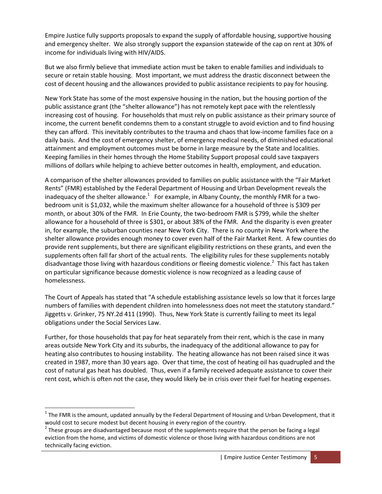Empire Justice fully supports proposals to expand the supply of affordable housing, supportive housing and emergency shelter. We also strongly support the expansion statewide of the cap on rent at 30% of income for individuals living with HIV/AIDS.

But we also firmly believe that immediate action must be taken to enable families and individuals to secure or retain stable housing. Most important, we must address the drastic disconnect between the cost of decent housing and the allowances provided to public assistance recipients to pay for housing.

New York State has some of the most expensive housing in the nation, but the housing portion of the public assistance grant (the "shelter allowance") has not remotely kept pace with the relentlessly increasing cost of housing. For households that must rely on public assistance as their primary source of income, the current benefit condemns them to a constant struggle to avoid eviction and to find housing they can afford. This inevitably contributes to the trauma and chaos that low-income families face on a daily basis. And the cost of emergency shelter, of emergency medical needs, of diminished educational attainment and employment outcomes must be borne in large measure by the State and localities. Keeping families in their homes through the Home Stability Support proposal could save taxpayers millions of dollars while helping to achieve better outcomes in health, employment, and education.

A comparison of the shelter allowances provided to families on public assistance with the "Fair Market Rents" (FMR) established by the Federal Department of Housing and Urban Development reveals the inadequacy of the shelter allowance. $^{1}$  For example, in Albany County, the monthly FMR for a twobedroom unit is \$1,032, while the maximum shelter allowance for a household of three is \$309 per month, or about 30% of the FMR. In Erie County, the two-bedroom FMR is \$799, while the shelter allowance for a household of three is \$301, or about 38% of the FMR. And the disparity is even greater in, for example, the suburban counties near New York City. There is no county in New York where the shelter allowance provides enough money to cover even half of the Fair Market Rent. A few counties do provide rent supplements, but there are significant eligibility restrictions on these grants, and even the supplements often fall far short of the actual rents. The eligibility rules for these supplements notably disadvantage those living with hazardous conditions or fleeing domestic violence.<sup>2</sup> This fact has taken on particular significance because domestic violence is now recognized as a leading cause of homelessness.

The Court of Appeals has stated that "A schedule establishing assistance levels so low that it forces large numbers of families with dependent children into homelessness does not meet the statutory standard." Jiggetts v. Grinker, 75 NY.2d 411 (1990). Thus, New York State is currently failing to meet its legal obligations under the Social Services Law.

Further, for those households that pay for heat separately from their rent, which is the case in many areas outside New York City and its suburbs, the inadequacy of the additional allowance to pay for heating also contributes to housing instability. The heating allowance has not been raised since it was created in 1987, more than 30 years ago. Over that time, the cost of heating oil has quadrupled and the cost of natural gas heat has doubled. Thus, even if a family received adequate assistance to cover their rent cost, which is often not the case, they would likely be in crisis over their fuel for heating expenses.

 $^1$  The FMR is the amount, updated annually by the Federal Department of Housing and Urban Development, that it would cost to secure modest but decent housing in every region of the country.

 $^2$  These groups are disadvantaged because most of the supplements require that the person be facing a legal eviction from the home, and victims of domestic violence or those living with hazardous conditions are not technically facing eviction.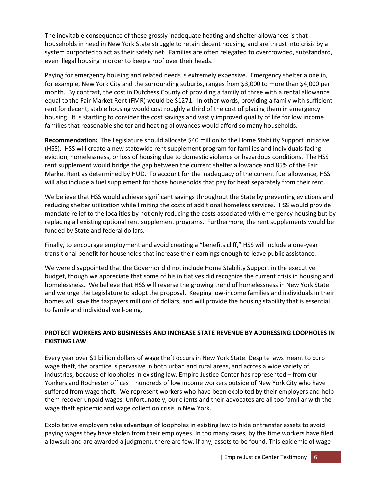The inevitable consequence of these grossly inadequate heating and shelter allowances is that households in need in New York State struggle to retain decent housing, and are thrust into crisis by a system purported to act as their safety net. Families are often relegated to overcrowded, substandard, even illegal housing in order to keep a roof over their heads.

Paying for emergency housing and related needs is extremely expensive. Emergency shelter alone in, for example, New York City and the surrounding suburbs, ranges from \$3,000 to more than \$4,000 per month. By contrast, the cost in Dutchess County of providing a family of three with a rental allowance equal to the Fair Market Rent (FMR) would be \$1271. In other words, providing a family with sufficient rent for decent, stable housing would cost roughly a third of the cost of placing them in emergency housing. It is startling to consider the cost savings and vastly improved quality of life for low income families that reasonable shelter and heating allowances would afford so many households.

**Recommendation:** The Legislature should allocate \$40 million to the Home Stability Support initiative (HSS). HSS will create a new statewide rent supplement program for families and individuals facing eviction, homelessness, or loss of housing due to domestic violence or hazardous conditions. The HSS rent supplement would bridge the gap between the current shelter allowance and 85% of the Fair Market Rent as determined by HUD. To account for the inadequacy of the current fuel allowance, HSS will also include a fuel supplement for those households that pay for heat separately from their rent.

We believe that HSS would achieve significant savings throughout the State by preventing evictions and reducing shelter utilization while limiting the costs of additional homeless services. HSS would provide mandate relief to the localities by not only reducing the costs associated with emergency housing but by replacing all existing optional rent supplement programs. Furthermore, the rent supplements would be funded by State and federal dollars.

Finally, to encourage employment and avoid creating a "benefits cliff," HSS will include a one-year transitional benefit for households that increase their earnings enough to leave public assistance.

We were disappointed that the Governor did not include Home Stability Support in the executive budget, though we appreciate that some of his initiatives did recognize the current crisis in housing and homelessness. We believe that HSS will reverse the growing trend of homelessness in New York State and we urge the Legislature to adopt the proposal. Keeping low-income families and individuals in their homes will save the taxpayers millions of dollars, and will provide the housing stability that is essential to family and individual well-being.

## **PROTECT WORKERS AND BUSINESSES AND INCREASE STATE REVENUE BY ADDRESSING LOOPHOLES IN EXISTING LAW**

Every year over \$1 billion dollars of wage theft occurs in New York State. Despite laws meant to curb wage theft, the practice is pervasive in both urban and rural areas, and across a wide variety of industries, because of loopholes in existing law. Empire Justice Center has represented – from our Yonkers and Rochester offices – hundreds of low income workers outside of New York City who have suffered from wage theft. We represent workers who have been exploited by their employers and help them recover unpaid wages. Unfortunately, our clients and their advocates are all too familiar with the wage theft epidemic and wage collection crisis in New York.

Exploitative employers take advantage of loopholes in existing law to hide or transfer assets to avoid paying wages they have stolen from their employees. In too many cases, by the time workers have filed a lawsuit and are awarded a judgment, there are few, if any, assets to be found. This epidemic of wage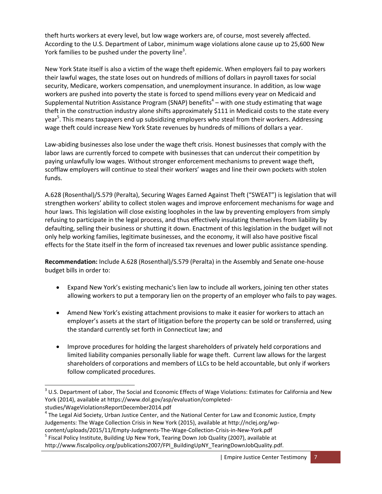theft hurts workers at every level, but low wage workers are, of course, most severely affected. According to the U.S. Department of Labor, minimum wage violations alone cause up to 25,600 New York families to be pushed under the poverty line<sup>3</sup>.

New York State itself is also a victim of the wage theft epidemic. When employers fail to pay workers their lawful wages, the state loses out on hundreds of millions of dollars in payroll taxes for social security, Medicare, workers compensation, and unemployment insurance. In addition, as low wage workers are pushed into poverty the state is forced to spend millions every year on Medicaid and Supplemental Nutrition Assistance Program (SNAP) benefits<sup>4</sup> – with one study estimating that wage theft in the construction industry alone shifts approximately \$111 in Medicaid costs to the state every year<sup>5</sup>. This means taxpayers end up subsidizing employers who steal from their workers. Addressing wage theft could increase New York State revenues by hundreds of millions of dollars a year.

Law-abiding businesses also lose under the wage theft crisis. Honest businesses that comply with the labor laws are currently forced to compete with businesses that can undercut their competition by paying unlawfully low wages. Without stronger enforcement mechanisms to prevent wage theft, scofflaw employers will continue to steal their workers' wages and line their own pockets with stolen funds.

A.628 (Rosenthal)/S.579 (Peralta), Securing Wages Earned Against Theft ("SWEAT") is legislation that will strengthen workers' ability to collect stolen wages and improve enforcement mechanisms for wage and hour laws. This legislation will close existing loopholes in the law by preventing employers from simply refusing to participate in the legal process, and thus effectively insulating themselves from liability by defaulting, selling their business or shutting it down. Enactment of this legislation in the budget will not only help working families, legitimate businesses, and the economy, it will also have positive fiscal effects for the State itself in the form of increased tax revenues and lower public assistance spending.

**Recommendation:** Include A.628 (Rosenthal)/S.579 (Peralta) in the Assembly and Senate one-house budget bills in order to:

- Expand New York's existing mechanic's lien law to include all workers, joining ten other states allowing workers to put a temporary lien on the property of an employer who fails to pay wages.
- Amend New York's existing attachment provisions to make it easier for workers to attach an employer's assets at the start of litigation before the property can be sold or transferred, using the standard currently set forth in Connecticut law; and
- Improve procedures for holding the largest shareholders of privately held corporations and limited liability companies personally liable for wage theft. Current law allows for the largest shareholders of corporations and members of LLCs to be held accountable, but only if workers follow complicated procedures.

l

 $3$  U.S. Department of Labor, The Social and Economic Effects of Wage Violations: Estimates for California and New York (2014), available at https://www.dol.gov/asp/evaluation/completedstudies/WageViolationsReportDecember2014.pdf

<sup>&</sup>lt;sup>4</sup> The Legal Aid Society, Urban Justice Center, and the National Center for Law and Economic Justice, Empty Judgements: The Wage Collection Crisis in New York (2015), available at http://nclej.org/wp-

content/uploads/2015/11/Empty-Judgments-The-Wage-Collection-Crisis-in-New-York.pdf

<sup>&</sup>lt;sup>5</sup> Fiscal Policy Institute, Building Up New York, Tearing Down Job Quality (2007), available at http://www.fiscalpolicy.org/publications2007/FPI\_BuildingUpNY\_TearingDownJobQuality.pdf.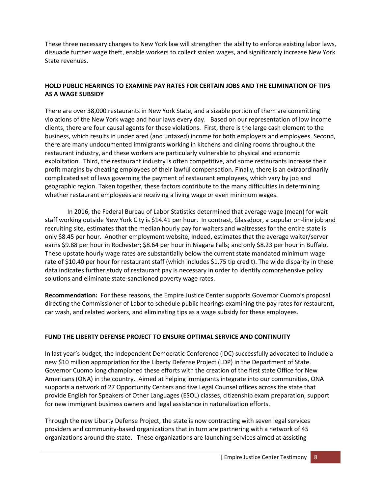These three necessary changes to New York law will strengthen the ability to enforce existing labor laws, dissuade further wage theft, enable workers to collect stolen wages, and significantly increase New York State revenues.

## **HOLD PUBLIC HEARINGS TO EXAMINE PAY RATES FOR CERTAIN JOBS AND THE ELIMINATION OF TIPS AS A WAGE SUBSIDY**

There are over 38,000 restaurants in New York State, and a sizable portion of them are committing violations of the New York wage and hour laws every day. Based on our representation of low income clients, there are four causal agents for these violations. First, there is the large cash element to the business, which results in undeclared (and untaxed) income for both employers and employees. Second, there are many undocumented immigrants working in kitchens and dining rooms throughout the restaurant industry, and these workers are particularly vulnerable to physical and economic exploitation. Third, the restaurant industry is often competitive, and some restaurants increase their profit margins by cheating employees of their lawful compensation. Finally, there is an extraordinarily complicated set of laws governing the payment of restaurant employees, which vary by job and geographic region. Taken together, these factors contribute to the many difficulties in determining whether restaurant employees are receiving a living wage or even minimum wages.

In 2016, the Federal Bureau of Labor Statistics determined that average wage (mean) for wait staff working outside New York City is \$14.41 per hour. In contrast, Glassdoor, a popular on-line job and recruiting site, estimates that the median hourly pay for waiters and waitresses for the entire state is only \$8.45 per hour. Another employment website, Indeed, estimates that the average waiter/server earns \$9.88 per hour in Rochester; \$8.64 per hour in Niagara Falls; and only \$8.23 per hour in Buffalo. These upstate hourly wage rates are substantially below the current state mandated minimum wage rate of \$10.40 per hour for restaurant staff (which includes \$1.75 tip credit). The wide disparity in these data indicates further study of restaurant pay is necessary in order to identify comprehensive policy solutions and eliminate state-sanctioned poverty wage rates.

**Recommendation:** For these reasons, the Empire Justice Center supports Governor Cuomo's proposal directing the Commissioner of Labor to schedule public hearings examining the pay rates for restaurant, car wash, and related workers, and eliminating tips as a wage subsidy for these employees.

# **FUND THE LIBERTY DEFENSE PROJECT TO ENSURE OPTIMAL SERVICE AND CONTINUITY**

In last year's budget, the Independent Democratic Conference (IDC) successfully advocated to include a new \$10 million appropriation for the Liberty Defense Project (LDP) in the Department of State. Governor Cuomo long championed these efforts with the creation of the first state Office for New Americans (ONA) in the country. Aimed at helping immigrants integrate into our communities, ONA supports a network of 27 Opportunity Centers and five Legal Counsel offices across the state that provide English for Speakers of Other Languages (ESOL) classes, citizenship exam preparation, support for new immigrant business owners and legal assistance in naturalization efforts.

Through the new Liberty Defense Project, the state is now contracting with seven legal services providers and community-based organizations that in turn are partnering with a network of 45 organizations around the state. These organizations are launching services aimed at assisting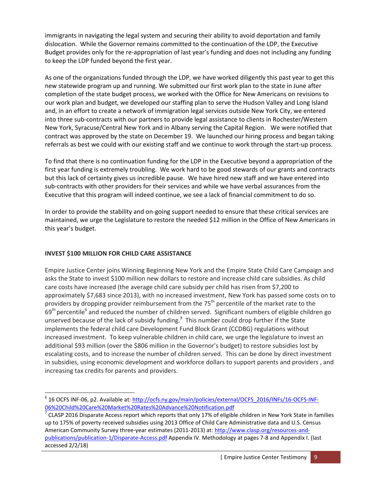immigrants in navigating the legal system and securing their ability to avoid deportation and family dislocation. While the Governor remains committed to the continuation of the LDP, the Executive Budget provides only for the re-appropriation of last year's funding and does not including any funding to keep the LDP funded beyond the first year.

As one of the organizations funded through the LDP, we have worked diligently this past year to get this new statewide program up and running. We submitted our first work plan to the state in June after completion of the state budget process, we worked with the Office for New Americans on revisions to our work plan and budget, we developed our staffing plan to serve the Hudson Valley and Long Island and, in an effort to create a network of immigration legal services outside New York City, we entered into three sub-contracts with our partners to provide legal assistance to clients in Rochester/Western New York, Syracuse/Central New York and in Albany serving the Capital Region. We were notified that contract was approved by the state on December 19. We launched our hiring process and began taking referrals as best we could with our existing staff and we continue to work through the start-up process.

To find that there is no continuation funding for the LDP in the Executive beyond a appropriation of the first year funding is extremely troubling. We work hard to be good stewards of our grants and contracts but this lack of certainty gives us incredible pause. We have hired new staff and we have entered into sub-contracts with other providers for their services and while we have verbal assurances from the Executive that this program will indeed continue, we see a lack of financial commitment to do so.

In order to provide the stability and on-going support needed to ensure that these critical services are maintained, we urge the Legislature to restore the needed \$12 million in the Office of New Americans in this year's budget.

# **INVEST \$100 MILLION FOR CHILD CARE ASSISTANCE**

Empire Justice Center joins Winning Beginning New York and the Empire State Child Care Campaign and asks the State to invest \$100 million new dollars to restore and increase child care subsidies. As child care costs have increased (the average child care subsidy per child has risen from \$7,200 to approximately \$7,683 since 2013), with no increased investment, New York has passed some costs on to providers by dropping provider reimbursement from the 75<sup>th</sup> percentile of the market rate to the 69<sup>th</sup> percentile<sup>6</sup> and reduced the number of children served. Significant numbers of eligible children go unserved because of the lack of subsidy funding.**<sup>7</sup>** This number could drop further if the State implements the federal child care Development Fund Block Grant (CCDBG) regulations without increased investment. To keep vulnerable children in child care, we urge the legislature to invest an additional \$93 million (over the \$806 million in the Governor's budget) to restore subsidies lost by escalating costs, and to increase the number of children served. This can be done by direct investment in subsidies, using economic development and workforce dollars to support parents and providers , and increasing tax credits for parents and providers.

<sup>&</sup>lt;sup>6</sup> 16 OCFS INF-06, p2. Available at: <u>http://ocfs.ny.gov/main/policies/external/OCFS\_2016/INFs/16-OCFS-INF-</u> [06%20Child%20Care%20Market%20Rates%20Advance%20Notification.pdf](http://ocfs.ny.gov/main/policies/external/OCFS_2016/INFs/16-OCFS-INF-06%20Child%20Care%20Market%20Rates%20Advance%20Notification.pdf)

 $^7$  CLASP 2016 Disparate Access report which reports that only 17% of eligible children in New York State in families up to 175% of poverty received subsidies using 2013 Office of Child Care Administrative data and U.S. Census American Community Survey three-year estimates (2011-2013) at: [http://www.clasp.org/resources-and](http://www.clasp.org/resources-and-publications/publication-1/Disparate-Access.pdf)[publications/publication-1/Disparate-Access.pdf](http://www.clasp.org/resources-and-publications/publication-1/Disparate-Access.pdf) Appendix IV. Methodology at pages 7-8 and Appendix I. (last accessed 2/2/18)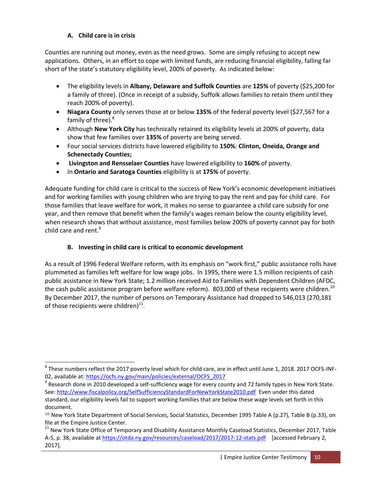## **A. Child care is in crisis**

Counties are running out money, even as the need grows. Some are simply refusing to accept new applications. Others, in an effort to cope with limited funds, are reducing financial eligibility, falling far short of the state's statutory eligibility level, 200% of poverty. As indicated below:

- The eligibility levels in **Albany, Delaware and Suffolk Counties** are **125%** of poverty (\$25,200 for a family of three). (Once in receipt of a subsidy, Suffolk allows families to retain them until they reach 200% of poverty).
- **Niagara County** only serves those at or below **135%** of the federal poverty level (\$27,567 for a family of three).<sup>8</sup>
- Although **New York City** has technically retained its eligibility levels at 200% of poverty, data show that few families over **135%** of poverty are being served.
- Four social services districts have lowered eligibility to **150%**: **Clinton, Oneida, Orange and Schenectady Counties;**
- **Livingston and Rensselaer Counties** have lowered eligibility to **160%** of poverty.
- In **Ontario and Saratoga Counties** eligibility is at **175%** of poverty.

Adequate funding for child care is critical to the success of New York's economic development initiatives and for working families with young children who are trying to pay the rent and pay for child care. For those families that leave welfare for work, it makes no sense to guarantee a child care subsidy for one year, and then remove that benefit when the family's wages remain below the county eligibility level, when research shows that without assistance, most families below 200% of poverty cannot pay for both child care and rent.<sup>9</sup>

# **B. Investing in child care is critical to economic development**

As a result of 1996 Federal Welfare reform, with its emphasis on "work first," public assistance rolls have plummeted as families left welfare for low wage jobs. In 1995, there were 1.5 million recipients of cash public assistance in New York State; 1.2 million received Aid to Families with Dependent Children (AFDC, the cash public assistance program before welfare reform). 803,000 of these recipients were children.<sup>10</sup> By December 2017, the number of persons on Temporary Assistance had dropped to 546,013 (270,181 of those recipients were children) $^{11}$ .

 $^8$  These numbers reflect the 2017 poverty level which for child care, are in effect until June 1, 2018. 2017 OCFS-INF-02, available at: [https://ocfs.ny.gov/main/policies/external/OCFS\\_2017](https://ocfs.ny.gov/main/policies/external/OCFS_2017) 

 $^9$  Research done in 2010 developed a self-sufficiency wage for every county and 72 family types in New York State. See[: http://www.fiscalpolicy.org/SelfSufficiencyStandardForNewYorkState2010.pdf](http://www.fiscalpolicy.org/SelfSufficiencyStandardForNewYorkState2010.pdf) Even under this dated standard, our eligibility levels fail to support working families that are below these wage levels set forth in this document.

<sup>&</sup>lt;sup>10</sup> New York State Department of Social Services, Social Statistics, December 1995 Table A (p.27), Table B (p.33), on file at the Empire Justice Center.

<sup>&</sup>lt;sup>11</sup> New York State Office of Temporary and Disability Assistance Monthly Caseload Statistics, December 2017, Table A-5, p. 38, available at<https://otda.ny.gov/resources/caseload/2017/2017-12-stats.pdf>[accessed February 2, 2017].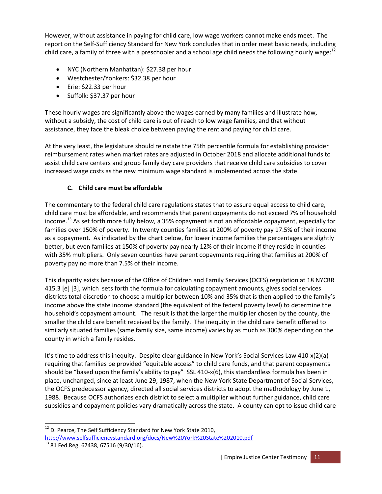However, without assistance in paying for child care, low wage workers cannot make ends meet. The report on the Self-Sufficiency Standard for New York concludes that in order meet basic needs, including child care, a family of three with a preschooler and a school age child needs the following hourly wage: $12$ 

- NYC (Northern Manhattan): \$27.38 per hour
- Westchester/Yonkers: \$32.38 per hour
- Erie: \$22.33 per hour
- Suffolk: \$37.37 per hour

These hourly wages are significantly above the wages earned by many families and illustrate how, without a subsidy, the cost of child care is out of reach to low wage families, and that without assistance, they face the bleak choice between paying the rent and paying for child care.

At the very least, the legislature should reinstate the 75th percentile formula for establishing provider reimbursement rates when market rates are adjusted in October 2018 and allocate additional funds to assist child care centers and group family day care providers that receive child care subsidies to cover increased wage costs as the new minimum wage standard is implemented across the state.

# **C. Child care must be affordable**

The commentary to the federal child care regulations states that to assure equal access to child care, child care must be affordable, and recommends that parent copayments do not exceed 7% of household income.<sup>13</sup> As set forth more fully below, a 35% copayment is not an affordable copayment, especially for families over 150% of poverty. In twenty counties families at 200% of poverty pay 17.5% of their income as a copayment. As indicated by the chart below, for lower income families the percentages are slightly better, but even families at 150% of poverty pay nearly 12% of their income if they reside in counties with 35% multipliers. Only seven counties have parent copayments requiring that families at 200% of poverty pay no more than 7.5% of their income.

This disparity exists because of the Office of Children and Family Services (OCFS) regulation at 18 NYCRR 415.3 [e] [3], which sets forth the formula for calculating copayment amounts, gives social services districts total discretion to choose a multiplier between 10% and 35% that is then applied to the family's income above the state income standard (the equivalent of the federal poverty level) to determine the household's copayment amount. The result is that the larger the multiplier chosen by the county, the smaller the child care benefit received by the family. The inequity in the child care benefit offered to similarly situated families (same family size, same income) varies by as much as 300% depending on the county in which a family resides.

It's time to address this inequity. Despite clear guidance in New York's Social Services Law 410-x(2)(a) requiring that families be provided "equitable access" to child care funds, and that parent copayments should be "based upon the family's ability to pay" SSL 410-x(6), this standardless formula has been in place, unchanged, since at least June 29, 1987, when the New York State Department of Social Services, the OCFS predecessor agency, directed all social services districts to adopt the methodology by June 1, 1988. Because OCFS authorizes each district to select a multiplier without further guidance, child care subsidies and copayment policies vary dramatically across the state. A county can opt to issue child care

 $\overline{a}$ 

 $12$  D. Pearce, The Self Sufficiency Standard for New York State 2010, <http://www.selfsufficiencystandard.org/docs/New%20York%20State%202010.pdf>  $13$  81 Fed.Reg. 67438, 67516 (9/30/16).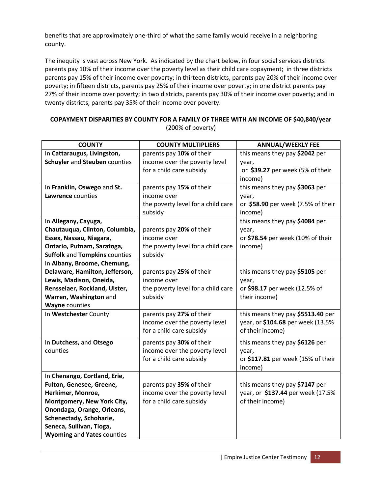benefits that are approximately one-third of what the same family would receive in a neighboring county.

The inequity is vast across New York. As indicated by the chart below, in four social services districts parents pay 10% of their income over the poverty level as their child care copayment; in three districts parents pay 15% of their income over poverty; in thirteen districts, parents pay 20% of their income over poverty; in fifteen districts, parents pay 25% of their income over poverty; in one district parents pay 27% of their income over poverty; in two districts, parents pay 30% of their income over poverty; and in twenty districts, parents pay 35% of their income over poverty.

| COPAYMENT DISPARITIES BY COUNTY FOR A FAMILY OF THREE WITH AN INCOME OF \$40,840/year |  |
|---------------------------------------------------------------------------------------|--|
| $(200\% \text{ of power})$                                                            |  |

| <b>COUNTY</b>                        | <b>COUNTY MULTIPLIERS</b>          | <b>ANNUAL/WEEKLY FEE</b>           |  |  |
|--------------------------------------|------------------------------------|------------------------------------|--|--|
| In Cattaraugus, Livingston,          | parents pay 10% of their           | this means they pay \$2042 per     |  |  |
| Schuyler and Steuben counties        | income over the poverty level      | year,                              |  |  |
|                                      | for a child care subsidy           | or \$39.27 per week (5% of their   |  |  |
|                                      |                                    | income)                            |  |  |
| In Franklin, Oswego and St.          | parents pay 15% of their           | this means they pay \$3063 per     |  |  |
| Lawrence counties                    | income over                        | year,                              |  |  |
|                                      | the poverty level for a child care | or \$58.90 per week (7.5% of their |  |  |
|                                      | subsidy                            | income)                            |  |  |
| In Allegany, Cayuga,                 |                                    | this means they pay \$4084 per     |  |  |
| Chautauqua, Clinton, Columbia,       | parents pay 20% of their           | year,                              |  |  |
| Essex, Nassau, Niagara,              | income over                        | or \$78.54 per week (10% of their  |  |  |
| Ontario, Putnam, Saratoga,           | the poverty level for a child care | income)                            |  |  |
| <b>Suffolk and Tompkins counties</b> | subsidy                            |                                    |  |  |
| In Albany, Broome, Chemung,          |                                    |                                    |  |  |
| Delaware, Hamilton, Jefferson,       | parents pay 25% of their           | this means they pay \$5105 per     |  |  |
| Lewis, Madison, Oneida,              | income over                        | year,                              |  |  |
| Rensselaer, Rockland, Ulster,        | the poverty level for a child care | or \$98.17 per week (12.5% of      |  |  |
| Warren, Washington and               | subsidy                            | their income)                      |  |  |
| <b>Wayne counties</b>                |                                    |                                    |  |  |
| In Westchester County                | parents pay 27% of their           | this means they pay \$5513.40 per  |  |  |
|                                      | income over the poverty level      | year, or \$104.68 per week (13.5%  |  |  |
|                                      | for a child care subsidy           | of their income)                   |  |  |
| In Dutchess, and Otsego              | parents pay 30% of their           | this means they pay \$6126 per     |  |  |
| counties                             | income over the poverty level      | year,                              |  |  |
|                                      | for a child care subsidy           | or \$117.81 per week (15% of their |  |  |
|                                      |                                    | income)                            |  |  |
| In Chenango, Cortland, Erie,         |                                    |                                    |  |  |
| Fulton, Genesee, Greene,             | parents pay 35% of their           | this means they pay \$7147 per     |  |  |
| Herkimer, Monroe,                    | income over the poverty level      | year, or \$137.44 per week (17.5%  |  |  |
| Montgomery, New York City,           | for a child care subsidy           | of their income)                   |  |  |
| Onondaga, Orange, Orleans,           |                                    |                                    |  |  |
| Schenectady, Schoharie,              |                                    |                                    |  |  |
| Seneca, Sullivan, Tioga,             |                                    |                                    |  |  |
| <b>Wyoming and Yates counties</b>    |                                    |                                    |  |  |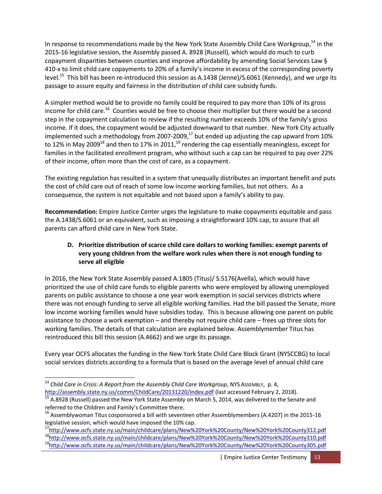In response to recommendations made by the New York State Assembly Child Care Workgroup,<sup>14</sup> in the 2015-16 legislative session, the Assembly passed A. 8928 (Russell), which would do much to curb copayment disparities between counties and improve affordability by amending Social Services Law § 410-x to limit child care copayments to 20% of a family's income in excess of the corresponding poverty level.<sup>15</sup> This bill has been re-introduced this session as A.1438 (Jenne)/S.6061 (Kennedy), and we urge its passage to assure equity and fairness in the distribution of child care subsidy funds.

A simpler method would be to provide no family could be required to pay more than 10% of its gross income for child care.<sup>16</sup> Counties would be free to choose their multiplier but there would be a second step in the copayment calculation to review if the resulting number exceeds 10% of the family's gross income. If it does, the copayment would be adjusted downward to that number. New York City actually implemented such a methodology from 2007-2009, $^{17}$  but ended up adjusting the cap upward from 10% to 12% in May 2009<sup>18</sup> and then to 17% in 2011,<sup>19</sup> rendering the cap essentially meaningless, except for families in the facilitated enrollment program, who without such a cap can be required to pay over 22% of their income, often more than the cost of care, as a copayment.

The existing regulation has resulted in a system that unequally distributes an important benefit and puts the cost of child care out of reach of some low income working families, but not others. As a consequence, the system is not equitable and not based upon a family's ability to pay.

**Recommendation:** Empire Justice Center urges the legislature to make copayments equitable and pass the A.1438/S.6061 or an equivalent, such as imposing a straightforward 10% cap, to assure that all parents can afford child care in New York State.

#### **D. Prioritize distribution of scarce child care dollars to working families: exempt parents of very young children from the welfare work rules when there is not enough funding to serve all eligible**

In 2016, the New York State Assembly passed A.1805 (Titus)/ S.5176(Avella), which would have prioritized the use of child care funds to eligible parents who were employed by allowing unemployed parents on public assistance to choose a one year work exemption in social services districts where there was not enough funding to serve all eligible working families. Had the bill passed the Senate, more low income working families would have subsidies today. This is because allowing one parent on public assistance to choose a work exemption – and thereby not require child care – frees up three slots for working families. The details of that calculation are explained below. Assemblymember Titus has reintroduced this bill this session (A.4662) and we urge its passage.

Every year OCFS allocates the funding in the New York State Child Care Block Grant (NYSCCBG) to local social services districts according to a formula that is based on the average level of annual child care

<sup>14</sup> *Child Care in Crisis: A Report from the Assembly Child Care Workgroup*, NYS ASSEMBLY, p. 4, <http://assembly.state.ny.us/comm/ChildCare/20131220/index.pdf> (last accessed February 2, 2018).

<sup>&</sup>lt;sup>15</sup> A.8928 (Russell) passed the New York State Assembly on March 5, 2014, was delivered to the Senate and referred to the Children and Family's Committee there.

 $16$  Assemblywoman Titus cosponsored a bill with seventeen other Assemblymembers (A.4207) in the 2015-16 legislative session, which would have imposed the 10% cap.

<sup>17</sup><http://www.ocfs.state.ny.us/main/childcare/plans/New%20York%20County/New%20York%20County312.pdf> <sup>18</sup><http://www.ocfs.state.ny.us/main/childcare/plans/New%20York%20County/New%20York%20County310.pdf> <sup>19</sup><http://www.ocfs.state.ny.us/main/childcare/plans/New%20York%20County/New%20York%20County305.pdf>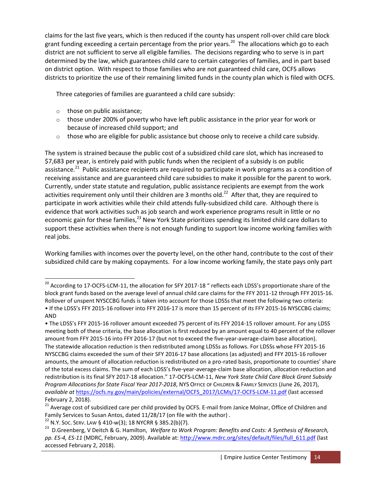claims for the last five years, which is then reduced if the county has unspent roll-over child care block grant funding exceeding a certain percentage from the prior years.<sup>20</sup> The allocations which go to each district are not sufficient to serve all eligible families. The decisions regarding who to serve is in part determined by the law, which guarantees child care to certain categories of families, and in part based on district option. With respect to those families who are not guaranteed child care, OCFS allows districts to prioritize the use of their remaining limited funds in the county plan which is filed with OCFS.

Three categories of families are guaranteed a child care subsidy:

o those on public assistance;

- $\circ$  those under 200% of poverty who have left public assistance in the prior year for work or because of increased child support; and
- $\circ$  those who are eligible for public assistance but choose only to receive a child care subsidy.

The system is strained because the public cost of a subsidized child care slot, which has increased to \$7,683 per year, is entirely paid with public funds when the recipient of a subsidy is on public assistance.<sup>21</sup> Public assistance recipients are required to participate in work programs as a condition of receiving assistance and are guaranteed child care subsidies to make it possible for the parent to work. Currently, under state statute and regulation, public assistance recipients are exempt from the work activities requirement only until their children are 3 months old.<sup>22</sup> After that, they are required to participate in work activities while their child attends fully-subsidized child care. Although there is evidence that work activities such as job search and work experience programs result in little or no economic gain for these families,<sup>23</sup> New York State prioritizes spending its limited child care dollars to support these activities when there is not enough funding to support low income working families with real jobs.

Working families with incomes over the poverty level, on the other hand, contribute to the cost of their subsidized child care by making copayments. For a low income working family, the state pays only part

 $^{20}$  According to 17-OCFS-LCM-11, the allocation for SFY 2017-18 " reflects each LDSS's proportionate share of the block grant funds based on the average level of annual child care claims for the FFY 2011-12 through FFY 2015-16. Rollover of unspent NYSCCBG funds is taken into account for those LDSSs that meet the following two criteria: • If the LDSS's FFY 2015-16 rollover into FFY 2016-17 is more than 15 percent of its FFY 2015-16 NYSCCBG claims; AND

<sup>•</sup> The LDSS's FFY 2015-16 rollover amount exceeded 75 percent of its FFY 2014-15 rollover amount. For any LDSS meeting both of these criteria, the base allocation is first reduced by an amount equal to 40 percent of the rollover amount from FFY 2015-16 into FFY 2016-17 (but not to exceed the five-year-average-claim base allocation). The statewide allocation reduction is then redistributed among LDSSs as follows. For LDSSs whose FFY 2015-16 NYSCCBG claims exceeded the sum of their SFY 2016-17 base allocations (as adjusted) and FFY 2015-16 rollover amounts, the amount of allocation reduction is redistributed on a pro-rated basis, proportionate to counties' share of the total excess claims. The sum of each LDSS's five-year-average-claim base allocation, allocation reduction and redistribution is its final SFY 2017-18 allocation." 17-OCFS-LCM-11, *New York State Child Care Block Grant Subsidy Program Allocations for State Fiscal Year 2017-2018*, NYS OFFICE OF CHILDREN & FAMILY SERVICES (June 26, 2017), *available at* [https://ocfs.ny.gov/main/policies/external/OCFS\\_2017/LCMs/17-OCFS-LCM-11.pdf](https://ocfs.ny.gov/main/policies/external/OCFS_2017/LCMs/17-OCFS-LCM-11.pdf) (last accessed February 2, 2018).

<sup>&</sup>lt;sup>21</sup> Average cost of subsidized care per child provided by OCFS. E-mail from Janice Molnar, Office of Children and Family Services to Susan Antos, dated 11/28/17 (on file with the author) .

 $22$  N.Y. Soc. SERV. LAW § 410-w(3); 18 NYCRR § 385.2(b)(7).

<sup>23</sup> D.Greenberg, V Deitch & G. Hamilton, *Welfare to Work Program: Benefits and Costs: A Synthesis of Research, pp. ES-4, ES-11* (MDRC, February, 2009). Available at: [http://www.mdrc.org/sites/default/files/full\\_611.pdf](http://www.mdrc.org/sites/default/files/full_611.pdf) (last accessed February 2, 2018).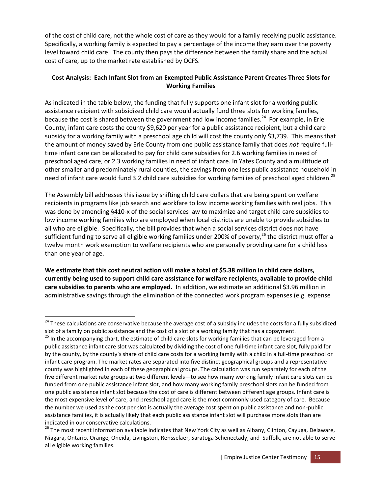of the cost of child care, not the whole cost of care as they would for a family receiving public assistance. Specifically, a working family is expected to pay a percentage of the income they earn over the poverty level toward child care. The county then pays the difference between the family share and the actual cost of care, up to the market rate established by OCFS.

## **Cost Analysis: Each Infant Slot from an Exempted Public Assistance Parent Creates Three Slots for Working Families**

As indicated in the table below, the funding that fully supports one infant slot for a working public assistance recipient with subsidized child care would actually fund three slots for working families, because the cost is shared between the government and low income families.<sup>24</sup> For example, in Erie County, infant care costs the county \$9,620 per year for a public assistance recipient, but a child care subsidy for a working family with a preschool age child will cost the county only \$3,739. This means that the amount of money saved by Erie County from one public assistance family that does *not* require fulltime infant care can be allocated to pay for child care subsidies for 2.6 working families in need of preschool aged care, or 2.3 working families in need of infant care. In Yates County and a multitude of other smaller and predominately rural counties, the savings from one less public assistance household in need of infant care would fund 3.2 child care subsidies for working families of preschool aged children.<sup>25</sup>

The Assembly bill addresses this issue by shifting child care dollars that are being spent on welfare recipients in programs like job search and workfare to low income working families with real jobs. This was done by amending §410-x of the social services law to maximize and target child care subsidies to low income working families who are employed when local districts are unable to provide subsidies to all who are eligible. Specifically, the bill provides that when a social services district does not have sufficient funding to serve all eligible working families under 200% of poverty,<sup>26</sup> the district must offer a twelve month work exemption to welfare recipients who are personally providing care for a child less than one year of age.

**We estimate that this cost neutral action will make a total of \$5.38 million in child care dollars, currently being used to support child care assistance for welfare recipients, available to provide child care subsidies to parents who are employed.** In addition, we estimate an additional \$3.96 million in administrative savings through the elimination of the connected work program expenses (e.g. expense

 $\overline{a}$ 

<sup>&</sup>lt;sup>24</sup> These calculations are conservative because the average cost of a subsidy includes the costs for a fully subsidized slot of a family on public assistance and the cost of a slot of a working family that has a copayment.

<sup>&</sup>lt;sup>25</sup> In the accompanying chart, the estimate of child care slots for working families that can be leveraged from a public assistance infant care slot was calculated by dividing the cost of one full-time infant care slot, fully paid for by the county, by the county's share of child care costs for a working family with a child in a full-time preschool or infant care program. The market rates are separated into five distinct geographical groups and a representative county was highlighted in each of these geographical groups. The calculation was run separately for each of the five different market rate groups at two different levels—to see how many working family infant care slots can be funded from one public assistance infant slot, and how many working family preschool slots can be funded from one public assistance infant slot because the cost of care is different between different age groups. Infant care is the most expensive level of care, and preschool aged care is the most commonly used category of care. Because the number we used as the cost per slot is actually the average cost spent on public assistance and non-public assistance families, it is actually likely that each public assistance infant slot will purchase more slots than are indicated in our conservative calculations.

<sup>&</sup>lt;sup>26</sup> The most recent information available indicates that New York City as well as Albany, Clinton, Cayuga, Delaware, Niagara, Ontario, Orange, Oneida, Livingston, Rensselaer, Saratoga Schenectady, and Suffolk, are not able to serve all eligible working families.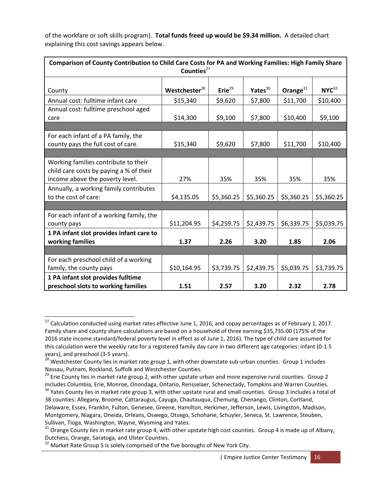of the workfare or soft skills program). **Total funds freed up would be \$9.34 million.** A detailed chart explaining this cost savings appears below.

| Comparison of County Contribution to Child Care Costs for PA and Working Families: High Family Share<br>Counties <sup>27</sup> |                           |              |                     |             |                   |  |  |
|--------------------------------------------------------------------------------------------------------------------------------|---------------------------|--------------|---------------------|-------------|-------------------|--|--|
| County                                                                                                                         | Westchester <sup>28</sup> | Erie $^{29}$ | Yates <sup>30</sup> | Orange $31$ | NYC <sup>32</sup> |  |  |
| Annual cost: fulltime infant care                                                                                              | \$15,340                  | \$9,620      | \$7,800             | \$11,700    | \$10,400          |  |  |
| Annual cost: fulltime preschool aged<br>care                                                                                   | \$14,300                  | \$9,100      | \$7,800             | \$10,400    | \$9,100           |  |  |
|                                                                                                                                |                           |              |                     |             |                   |  |  |
| For each infant of a PA family, the<br>county pays the full cost of care.                                                      | \$15,340                  | \$9,620      | \$7,800             | \$11,700    | \$10,400          |  |  |
|                                                                                                                                |                           |              |                     |             |                   |  |  |
| Working families contribute to their<br>child care costs by paying a % of their                                                |                           |              |                     |             |                   |  |  |
| income above the poverty level.                                                                                                | 27%                       | 35%          | 35%                 | 35%         | 35%               |  |  |
| Annually, a working family contributes<br>to the cost of care:                                                                 | \$4,135.05                | \$5,360.25   | \$5,360.25          | \$5,360.25  | \$5,360.25        |  |  |
|                                                                                                                                |                           |              |                     |             |                   |  |  |
| For each infant of a working family, the<br>county pays                                                                        | \$11,204.95               | \$4,259.75   | \$2,439.75          | \$6,339.75  | \$5,039.75        |  |  |
| 1 PA infant slot provides infant care to<br>working families                                                                   | 1.37                      | 2.26         | 3.20                | 1.85        | 2.06              |  |  |
|                                                                                                                                |                           |              |                     |             |                   |  |  |
| For each preschool child of a working                                                                                          |                           |              |                     |             |                   |  |  |
| family, the county pays                                                                                                        | \$10,164.95               | \$3,739.75   | \$2,439.75          | \$5,039.75  | \$3,739.75        |  |  |
| 1 PA infant slot provides fulltime                                                                                             |                           |              |                     |             |                   |  |  |
| preschool slots to working families                                                                                            | 1.51                      | 2.57         | 3.20                | 2.32        | 2.78              |  |  |

 $\overline{a}$ 

 $^{27}$  Calculation conducted using market rates effective June 1, 2016, and copay percentages as of February 1, 2017. Family share and county share calculations are based on a household of three earning \$35,735.00 (175% of the 2016 state income standard/federal poverty level in effect as of June 1, 2016). The type of child care assumed for this calculation were the weekly rate for a registered family day care in two different age categories: infant (0-1.5 years), and preschool (3-5 years).

<sup>&</sup>lt;sup>28</sup> Westchester County lies in market rate group 1, with other downstate sub-urban counties. Group 1 includes Nassau, Putnam, Rockland, Suffolk and Westchester Counties.

<sup>&</sup>lt;sup>29</sup> Erie County lies in market rate group 2, with other upstate urban and more expensive rural counties. Group 2 includes Columbia, Erie, Monroe, Onondaga, Ontario, Rensselaer, Schenectady, Tompkins and Warren Counties.

<sup>&</sup>lt;sup>30</sup> Yates County lies in market rate group 3, with other upstate rural and small counties. Group 3 includes a total of 38 counties: Allegany, Broome, Cattaraugus, Cayuga, Chautauqua, Chemung, Chenango, Clinton, Cortland, Delaware, Essex, Franklin, Fulton, Genesee, Greene, Hamilton, Herkimer, Jefferson, Lewis, Livingston, Madison, Montgomery, Niagara, Oneida, Orleans, Oswego, Otsego, Schoharie, Schuyler, Seneca, St. Lawrence, Steuben, Sullivan, Tioga, Washington, Wayne, Wyoming and Yates.

 $31$  Orange County lies in market rate group 4, with other upstate high cost counties. Group 4 is made up of Albany, Dutchess, Orange, Saratoga, and Ulster Counties.

 $32$  Market Rate Group 5 is solely comprised of the five boroughs of New York City.